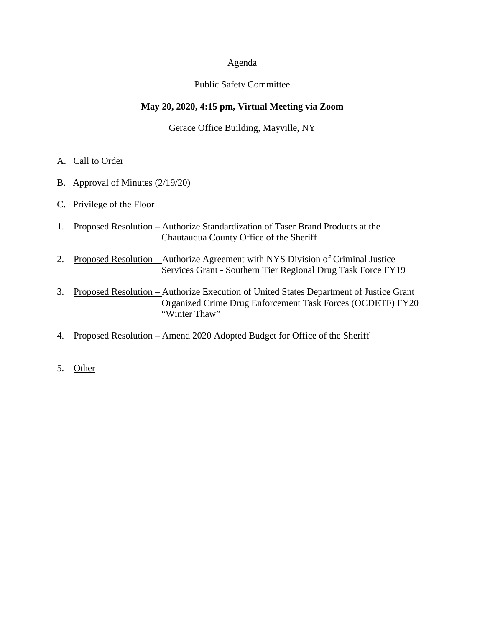### Agenda

### Public Safety Committee

# **May 20, 2020, 4:15 pm, Virtual Meeting via Zoom**

Gerace Office Building, Mayville, NY

- A. Call to Order
- B. Approval of Minutes (2/19/20)
- C. Privilege of the Floor
- 1. Proposed Resolution Authorize Standardization of Taser Brand Products at the Chautauqua County Office of the Sheriff
- 2. Proposed Resolution Authorize Agreement with NYS Division of Criminal Justice Services Grant - Southern Tier Regional Drug Task Force FY19
- 3. Proposed Resolution Authorize Execution of United States Department of Justice Grant Organized Crime Drug Enforcement Task Forces (OCDETF) FY20 "Winter Thaw"
- 4. Proposed Resolution Amend 2020 Adopted Budget for Office of the Sheriff
- 5. Other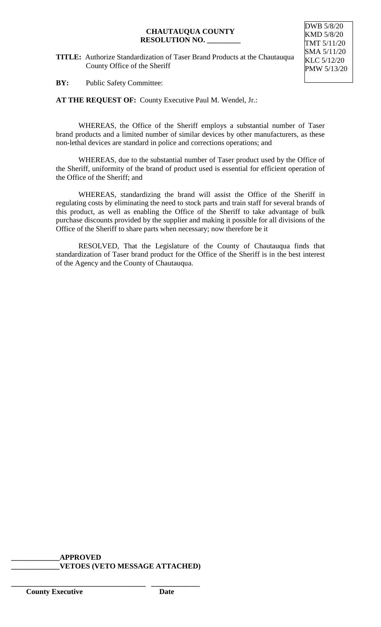#### **CHAUTAUQUA COUNTY RESOLUTION NO. \_\_\_\_\_\_\_\_\_**

**TITLE:** Authorize Standardization of Taser Brand Products at the Chautauqua County Office of the Sheriff



**BY:** Public Safety Committee:

**AT THE REQUEST OF:** County Executive Paul M. Wendel, Jr.:

WHEREAS, the Office of the Sheriff employs a substantial number of Taser brand products and a limited number of similar devices by other manufacturers, as these non-lethal devices are standard in police and corrections operations; and

WHEREAS, due to the substantial number of Taser product used by the Office of the Sheriff, uniformity of the brand of product used is essential for efficient operation of the Office of the Sheriff; and

WHEREAS, standardizing the brand will assist the Office of the Sheriff in regulating costs by eliminating the need to stock parts and train staff for several brands of this product, as well as enabling the Office of the Sheriff to take advantage of bulk purchase discounts provided by the supplier and making it possible for all divisions of the Office of the Sheriff to share parts when necessary; now therefore be it

RESOLVED, That the Legislature of the County of Chautauqua finds that standardization of Taser brand product for the Office of the Sheriff is in the best interest of the Agency and the County of Chautauqua.

## **\_\_\_\_\_\_\_\_\_\_\_\_\_APPROVED \_\_\_\_\_\_\_\_\_\_\_\_\_VETOES (VETO MESSAGE ATTACHED)**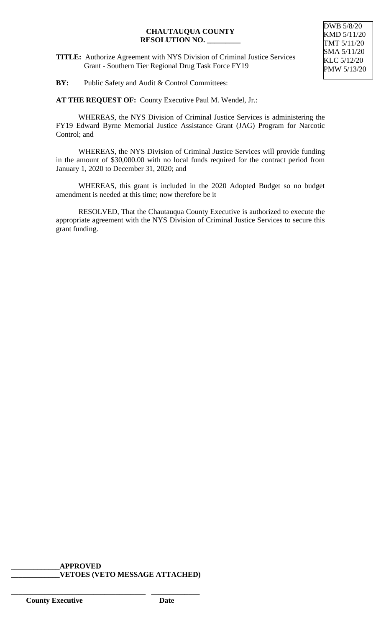### **CHAUTAUQUA COUNTY RESOLUTION NO. \_\_\_\_\_\_\_\_\_**

**TITLE:** Authorize Agreement with NYS Division of Criminal Justice Services Grant - Southern Tier Regional Drug Task Force FY19

**BY:** Public Safety and Audit & Control Committees:

**AT THE REQUEST OF:** County Executive Paul M. Wendel, Jr.:

WHEREAS, the NYS Division of Criminal Justice Services is administering the FY19 Edward Byrne Memorial Justice Assistance Grant (JAG) Program for Narcotic Control; and

WHEREAS, the NYS Division of Criminal Justice Services will provide funding in the amount of \$30,000.00 with no local funds required for the contract period from January 1, 2020 to December 31, 2020; and

WHEREAS, this grant is included in the 2020 Adopted Budget so no budget amendment is needed at this time; now therefore be it

RESOLVED, That the Chautauqua County Executive is authorized to execute the appropriate agreement with the NYS Division of Criminal Justice Services to secure this grant funding.

#### **\_\_\_\_\_\_\_\_\_\_\_\_\_APPROVED \_\_\_\_\_\_\_\_\_\_\_\_\_VETOES (VETO MESSAGE ATTACHED)**

**\_\_\_\_\_\_\_\_\_\_\_\_\_\_\_\_\_\_\_\_\_\_\_\_\_\_\_\_\_\_\_\_\_\_\_\_ \_\_\_\_\_\_\_\_\_\_\_\_\_**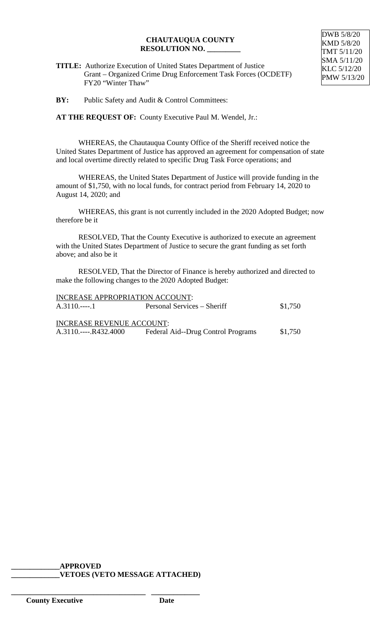# **CHAUTAUQUA COUNTY RESOLUTION NO. \_\_\_\_\_\_\_\_\_**

DWB 5/8/20 KMD 5/8/20 TMT 5/11/20 SMA 5/11/20 KLC 5/12/20 PMW 5/13/20

**TITLE:** Authorize Execution of United States Department of Justice Grant – Organized Crime Drug Enforcement Task Forces (OCDETF) FY20 "Winter Thaw"

**BY:** Public Safety and Audit & Control Committees:

**AT THE REQUEST OF:** County Executive Paul M. Wendel, Jr.:

WHEREAS, the Chautauqua County Office of the Sheriff received notice the United States Department of Justice has approved an agreement for compensation of state and local overtime directly related to specific Drug Task Force operations; and

WHEREAS, the United States Department of Justice will provide funding in the amount of \$1,750, with no local funds, for contract period from February 14, 2020 to August 14, 2020; and

WHEREAS, this grant is not currently included in the 2020 Adopted Budget; now therefore be it

RESOLVED, That the County Executive is authorized to execute an agreement with the United States Department of Justice to secure the grant funding as set forth above; and also be it

RESOLVED, That the Director of Finance is hereby authorized and directed to make the following changes to the 2020 Adopted Budget:

| <b>INCREASE APPROPRIATION ACCOUNT:</b> |                                    |         |
|----------------------------------------|------------------------------------|---------|
| $A.3110.---1$                          | Personal Services – Sheriff        | \$1,750 |
|                                        |                                    |         |
| <b>INCREASE REVENUE ACCOUNT:</b>       |                                    |         |
| A.3110.----.R432.4000                  | Federal Aid--Drug Control Programs | \$1,750 |
|                                        |                                    |         |

**\_\_\_\_\_\_\_\_\_\_\_\_\_APPROVED \_\_\_\_\_\_\_\_\_\_\_\_\_VETOES (VETO MESSAGE ATTACHED)**